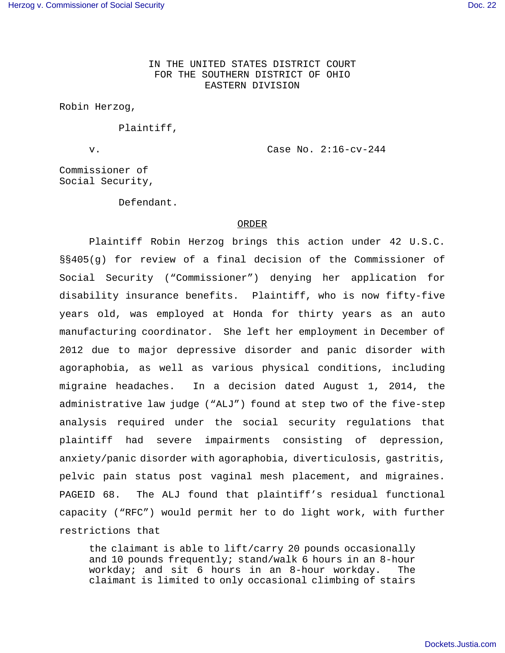IN THE UNITED STATES DISTRICT COURT FOR THE SOUTHERN DISTRICT OF OHIO EASTERN DIVISION

Robin Herzog,

Plaintiff,

v. Case No. 2:16-cv-244

Commissioner of Social Security,

Defendant.

## ORDER

Plaintiff Robin Herzog brings this action under 42 U.S.C. §§405(g) for review of a final decision of the Commissioner of Social Security ("Commissioner") denying her application for disability insurance benefits. Plaintiff, who is now fifty-five years old, was employed at Honda for thirty years as an auto manufacturing coordinator. She left her employment in December of 2012 due to major depressive disorder and panic disorder with agoraphobia, as well as various physical conditions, including migraine headaches. In a decision dated August 1, 2014, the administrative law judge ("ALJ") found at step two of the five-step analysis required under the social security regulations that plaintiff had severe impairments consisting of depression, anxiety/panic disorder with agoraphobia, diverticulosis, gastritis, pelvic pain status post vaginal mesh placement, and migraines. PAGEID 68. The ALJ found that plaintiff's residual functional capacity ("RFC") would permit her to do light work, with further restrictions that

the claimant is able to lift/carry 20 pounds occasionally and 10 pounds frequently; stand/walk 6 hours in an 8-hour workday; and sit 6 hours in an 8-hour workday. The claimant is limited to only occasional climbing of stairs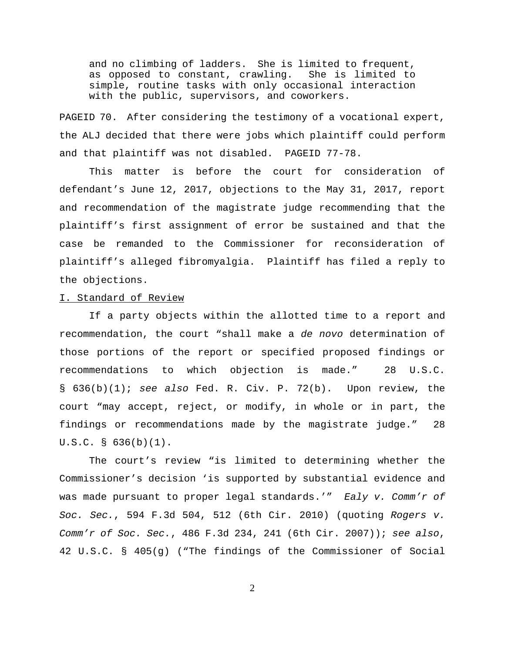and no climbing of ladders. She is limited to frequent, as opposed to constant, crawling. She is limited to simple, routine tasks with only occasional interaction with the public, supervisors, and coworkers.

PAGEID 70. After considering the testimony of a vocational expert, the ALJ decided that there were jobs which plaintiff could perform and that plaintiff was not disabled. PAGEID 77-78.

This matter is before the court for consideration of defendant's June 12, 2017, objections to the May 31, 2017, report and recommendation of the magistrate judge recommending that the plaintiff's first assignment of error be sustained and that the case be remanded to the Commissioner for reconsideration of plaintiff's alleged fibromyalgia. Plaintiff has filed a reply to the objections.

## I. Standard of Review

If a party objects within the allotted time to a report and recommendation, the court "shall make a de novo determination of those portions of the report or specified proposed findings or recommendations to which objection is made." 28 U.S.C. §  $636(b)(1)$ ; see also Fed. R. Civ. P. 72(b). Upon review, the court "may accept, reject, or modify, in whole or in part, the findings or recommendations made by the magistrate judge." 28 U.S.C. § 636(b)(1).

The court's review "is limited to determining whether the Commissioner's decision 'is supported by substantial evidence and was made pursuant to proper legal standards.'" Ealy v. Comm'r of Soc. Sec., 594 F.3d 504, 512 (6th Cir. 2010) (quoting Rogers v. Comm'r of Soc. Sec., 486 F.3d 234, 241 (6th Cir. 2007)); see also, 42 U.S.C. § 405(g) ("The findings of the Commissioner of Social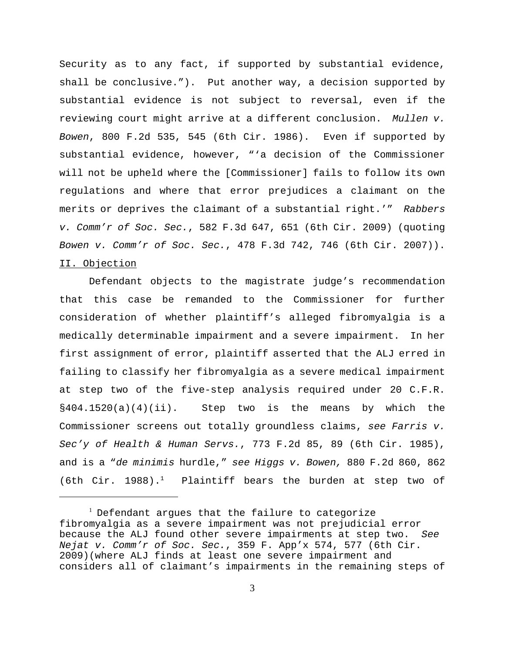Security as to any fact, if supported by substantial evidence, shall be conclusive."). Put another way, a decision supported by substantial evidence is not subject to reversal, even if the reviewing court might arrive at a different conclusion. Mullen v. Bowen, 800 F.2d 535, 545 (6th Cir. 1986). Even if supported by substantial evidence, however, "'a decision of the Commissioner will not be upheld where the [Commissioner] fails to follow its own regulations and where that error prejudices a claimant on the merits or deprives the claimant of a substantial right.'" Rabbers v. Comm'r of Soc. Sec., 582 F.3d 647, 651 (6th Cir. 2009) (quoting Bowen v. Comm'r of Soc. Sec., 478 F.3d 742, 746 (6th Cir. 2007)). II. Objection

Defendant objects to the magistrate judge's recommendation that this case be remanded to the Commissioner for further consideration of whether plaintiff's alleged fibromyalgia is a medically determinable impairment and a severe impairment. In her first assignment of error, plaintiff asserted that the ALJ erred in failing to classify her fibromyalgia as a severe medical impairment at step two of the five-step analysis required under 20 C.F.R.  $§404.1520(a)(4)(ii)$ . Step two is the means by which the Commissioner screens out totally groundless claims, see Farris v. Sec'y of Health & Human Servs., 773 F.2d 85, 89 (6th Cir. 1985), and is a "de minimis hurdle," see Higgs v. Bowen, 880 F.2d 860, 862 (6th Cir. 1988).<sup>1</sup> Plaintiff bears the burden at step two of

<sup>&</sup>lt;sup>1</sup> Defendant argues that the failure to categorize fibromyalgia as a severe impairment was not prejudicial error because the ALJ found other severe impairments at step two. See Nejat v. Comm'r of Soc. Sec., 359 F. App'x 574, 577 (6th Cir. 2009)(where ALJ finds at least one severe impairment and considers all of claimant's impairments in the remaining steps of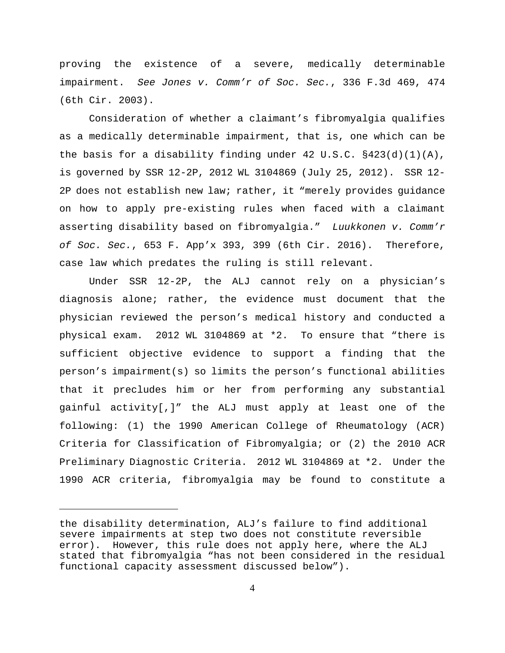proving the existence of a severe, medically determinable impairment. See Jones v. Comm'r of Soc. Sec., 336 F.3d 469, 474 (6th Cir. 2003).

Consideration of whether a claimant's fibromyalgia qualifies as a medically determinable impairment, that is, one which can be the basis for a disability finding under 42 U.S.C.  $\S423(d)(1)(A)$ , is governed by SSR 12-2P, 2012 WL 3104869 (July 25, 2012). SSR 12- 2P does not establish new law; rather, it "merely provides guidance on how to apply pre-existing rules when faced with a claimant asserting disability based on fibromyalgia." Luukkonen v. Comm'r of Soc. Sec., 653 F. App'x 393, 399 (6th Cir. 2016). Therefore, case law which predates the ruling is still relevant.

Under SSR 12-2P, the ALJ cannot rely on a physician's diagnosis alone; rather, the evidence must document that the physician reviewed the person's medical history and conducted a physical exam. 2012 WL 3104869 at \*2. To ensure that "there is sufficient objective evidence to support a finding that the person's impairment(s) so limits the person's functional abilities that it precludes him or her from performing any substantial gainful activity[,]" the ALJ must apply at least one of the following: (1) the 1990 American College of Rheumatology (ACR) Criteria for Classification of Fibromyalgia; or (2) the 2010 ACR Preliminary Diagnostic Criteria. 2012 WL 3104869 at \*2. Under the 1990 ACR criteria, fibromyalgia may be found to constitute a

the disability determination, ALJ's failure to find additional severe impairments at step two does not constitute reversible error). However, this rule does not apply here, where the ALJ stated that fibromyalgia "has not been considered in the residual functional capacity assessment discussed below").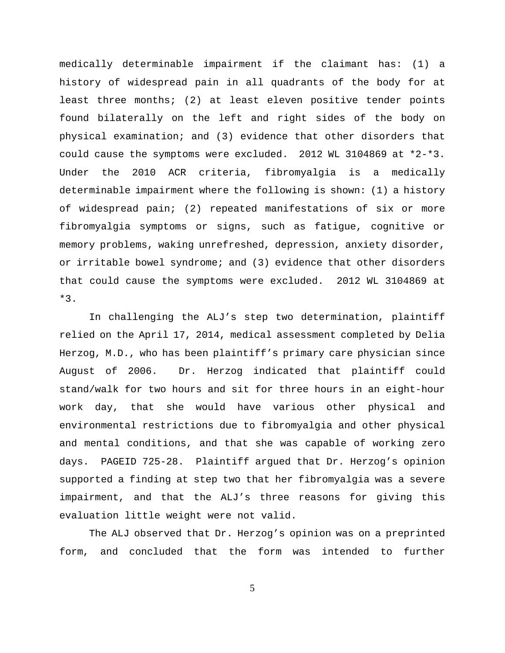medically determinable impairment if the claimant has: (1) a history of widespread pain in all quadrants of the body for at least three months; (2) at least eleven positive tender points found bilaterally on the left and right sides of the body on physical examination; and (3) evidence that other disorders that could cause the symptoms were excluded. 2012 WL 3104869 at \*2-\*3. Under the 2010 ACR criteria, fibromyalgia is a medically determinable impairment where the following is shown: (1) a history of widespread pain; (2) repeated manifestations of six or more fibromyalgia symptoms or signs, such as fatigue, cognitive or memory problems, waking unrefreshed, depression, anxiety disorder, or irritable bowel syndrome; and (3) evidence that other disorders that could cause the symptoms were excluded. 2012 WL 3104869 at  $*3$ .

In challenging the ALJ's step two determination, plaintiff relied on the April 17, 2014, medical assessment completed by Delia Herzog, M.D., who has been plaintiff's primary care physician since August of 2006. Dr. Herzog indicated that plaintiff could stand/walk for two hours and sit for three hours in an eight-hour work day, that she would have various other physical and environmental restrictions due to fibromyalgia and other physical and mental conditions, and that she was capable of working zero days. PAGEID 725-28. Plaintiff argued that Dr. Herzog's opinion supported a finding at step two that her fibromyalgia was a severe impairment, and that the ALJ's three reasons for giving this evaluation little weight were not valid.

The ALJ observed that Dr. Herzog's opinion was on a preprinted form, and concluded that the form was intended to further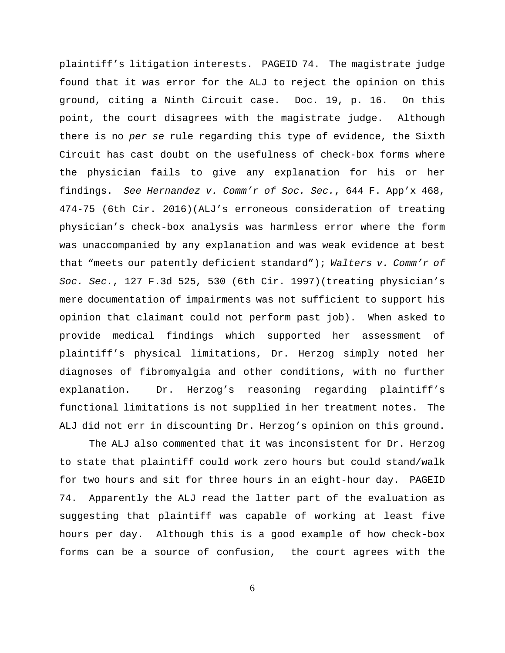plaintiff's litigation interests. PAGEID 74. The magistrate judge found that it was error for the ALJ to reject the opinion on this ground, citing a Ninth Circuit case. Doc. 19, p. 16. On this point, the court disagrees with the magistrate judge. Although there is no per se rule regarding this type of evidence, the Sixth Circuit has cast doubt on the usefulness of check-box forms where the physician fails to give any explanation for his or her findings. See Hernandez v. Comm'r of Soc. Sec., 644 F. App'x 468, 474-75 (6th Cir. 2016)(ALJ's erroneous consideration of treating physician's check-box analysis was harmless error where the form was unaccompanied by any explanation and was weak evidence at best that "meets our patently deficient standard"); Walters  $v$ . Comm'r of Soc. Sec., 127 F.3d 525, 530 (6th Cir. 1997)(treating physician's mere documentation of impairments was not sufficient to support his opinion that claimant could not perform past job). When asked to provide medical findings which supported her assessment of plaintiff's physical limitations, Dr. Herzog simply noted her diagnoses of fibromyalgia and other conditions, with no further explanation. Dr. Herzog's reasoning regarding plaintiff's functional limitations is not supplied in her treatment notes. The ALJ did not err in discounting Dr. Herzog's opinion on this ground.

The ALJ also commented that it was inconsistent for Dr. Herzog to state that plaintiff could work zero hours but could stand/walk for two hours and sit for three hours in an eight-hour day. PAGEID 74. Apparently the ALJ read the latter part of the evaluation as suggesting that plaintiff was capable of working at least five hours per day. Although this is a good example of how check-box forms can be a source of confusion, the court agrees with the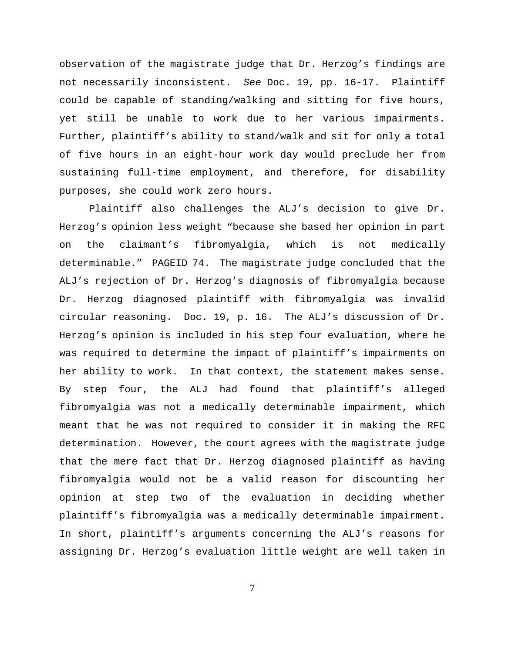observation of the magistrate judge that Dr. Herzog's findings are not necessarily inconsistent. See Doc. 19, pp. 16-17. Plaintiff could be capable of standing/walking and sitting for five hours, yet still be unable to work due to her various impairments. Further, plaintiff's ability to stand/walk and sit for only a total of five hours in an eight-hour work day would preclude her from sustaining full-time employment, and therefore, for disability purposes, she could work zero hours.

Plaintiff also challenges the ALJ's decision to give Dr. Herzog's opinion less weight "because she based her opinion in part on the claimant's fibromyalgia, which is not medically determinable." PAGEID 74. The magistrate judge concluded that the ALJ's rejection of Dr. Herzog's diagnosis of fibromyalgia because Dr. Herzog diagnosed plaintiff with fibromyalgia was invalid circular reasoning. Doc. 19, p. 16. The ALJ's discussion of Dr. Herzog's opinion is included in his step four evaluation, where he was required to determine the impact of plaintiff's impairments on her ability to work. In that context, the statement makes sense. By step four, the ALJ had found that plaintiff's alleged fibromyalgia was not a medically determinable impairment, which meant that he was not required to consider it in making the RFC determination. However, the court agrees with the magistrate judge that the mere fact that Dr. Herzog diagnosed plaintiff as having fibromyalgia would not be a valid reason for discounting her opinion at step two of the evaluation in deciding whether plaintiff's fibromyalgia was a medically determinable impairment. In short, plaintiff's arguments concerning the ALJ's reasons for assigning Dr. Herzog's evaluation little weight are well taken in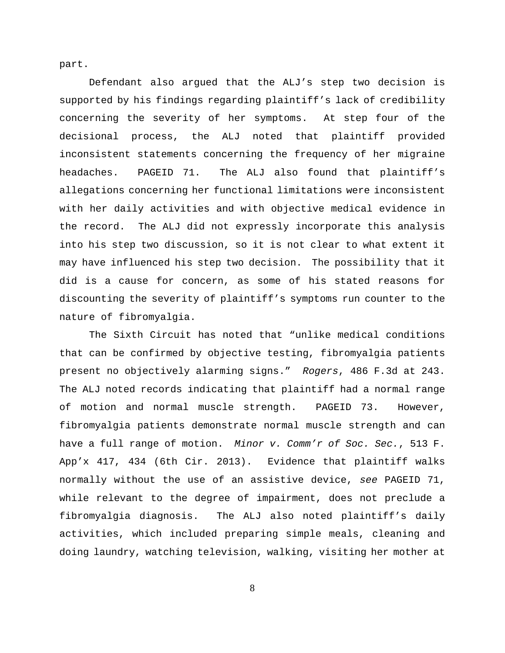part.

Defendant also argued that the ALJ's step two decision is supported by his findings regarding plaintiff's lack of credibility concerning the severity of her symptoms. At step four of the decisional process, the ALJ noted that plaintiff provided inconsistent statements concerning the frequency of her migraine headaches. PAGEID 71. The ALJ also found that plaintiff's allegations concerning her functional limitations were inconsistent with her daily activities and with objective medical evidence in the record. The ALJ did not expressly incorporate this analysis into his step two discussion, so it is not clear to what extent it may have influenced his step two decision. The possibility that it did is a cause for concern, as some of his stated reasons for discounting the severity of plaintiff's symptoms run counter to the nature of fibromyalgia.

The Sixth Circuit has noted that "unlike medical conditions that can be confirmed by objective testing, fibromyalgia patients present no objectively alarming signs." Rogers, 486 F.3d at 243. The ALJ noted records indicating that plaintiff had a normal range of motion and normal muscle strength. PAGEID 73. However, fibromyalgia patients demonstrate normal muscle strength and can have a full range of motion. Minor v. Comm'r of Soc. Sec., 513 F. App'x 417, 434 (6th Cir. 2013). Evidence that plaintiff walks normally without the use of an assistive device, see PAGEID 71, while relevant to the degree of impairment, does not preclude a fibromyalgia diagnosis. The ALJ also noted plaintiff's daily activities, which included preparing simple meals, cleaning and doing laundry, watching television, walking, visiting her mother at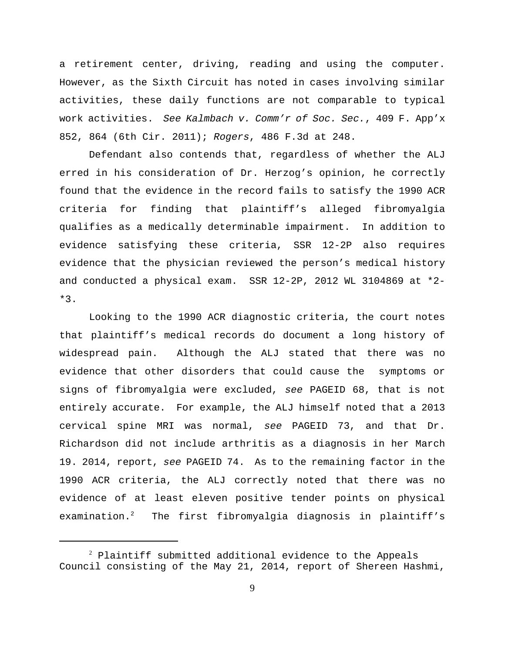a retirement center, driving, reading and using the computer. However, as the Sixth Circuit has noted in cases involving similar activities, these daily functions are not comparable to typical work activities. See Kalmbach v. Comm'r of Soc. Sec., 409 F. App'x 852, 864 (6th Cir. 2011); Rogers, 486 F.3d at 248.

Defendant also contends that, regardless of whether the ALJ erred in his consideration of Dr. Herzog's opinion, he correctly found that the evidence in the record fails to satisfy the 1990 ACR criteria for finding that plaintiff's alleged fibromyalgia qualifies as a medically determinable impairment. In addition to evidence satisfying these criteria, SSR 12-2P also requires evidence that the physician reviewed the person's medical history and conducted a physical exam. SSR 12-2P, 2012 WL 3104869 at \*2- \*3.

Looking to the 1990 ACR diagnostic criteria, the court notes that plaintiff's medical records do document a long history of widespread pain. Although the ALJ stated that there was no evidence that other disorders that could cause the symptoms or signs of fibromyalgia were excluded, see PAGEID 68, that is not entirely accurate. For example, the ALJ himself noted that a 2013 cervical spine MRI was normal, see PAGEID 73, and that Dr. Richardson did not include arthritis as a diagnosis in her March 19. 2014, report, see PAGEID 74. As to the remaining factor in the 1990 ACR criteria, the ALJ correctly noted that there was no evidence of at least eleven positive tender points on physical examination.<sup>2</sup> The first fibromyalgia diagnosis in plaintiff's

 $2$  Plaintiff submitted additional evidence to the Appeals Council consisting of the May 21, 2014, report of Shereen Hashmi,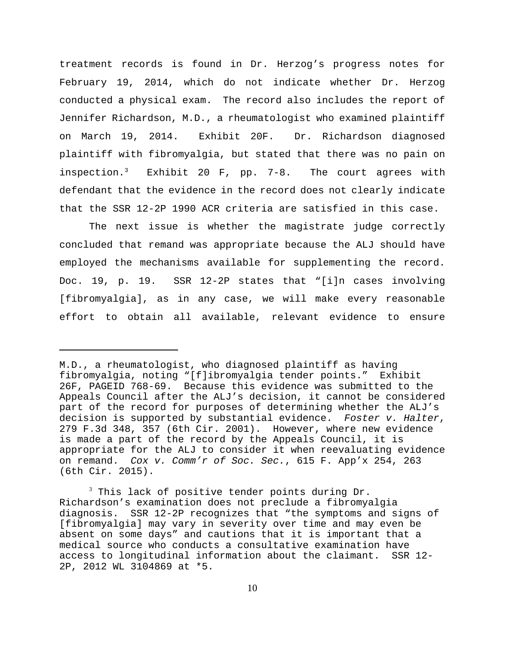treatment records is found in Dr. Herzog's progress notes for February 19, 2014, which do not indicate whether Dr. Herzog conducted a physical exam. The record also includes the report of Jennifer Richardson, M.D., a rheumatologist who examined plaintiff on March 19, 2014. Exhibit 20F. Dr. Richardson diagnosed plaintiff with fibromyalgia, but stated that there was no pain on inspection.<sup>3</sup> Exhibit 20 F, pp. 7-8. The court agrees with defendant that the evidence in the record does not clearly indicate that the SSR 12-2P 1990 ACR criteria are satisfied in this case.

The next issue is whether the magistrate judge correctly concluded that remand was appropriate because the ALJ should have employed the mechanisms available for supplementing the record. Doc. 19, p. 19. SSR 12-2P states that "[i]n cases involving [fibromyalgia], as in any case, we will make every reasonable effort to obtain all available, relevant evidence to ensure

M.D., a rheumatologist, who diagnosed plaintiff as having fibromyalgia, noting "[f]ibromyalgia tender points." Exhibit 26F, PAGEID 768-69. Because this evidence was submitted to the Appeals Council after the ALJ's decision, it cannot be considered part of the record for purposes of determining whether the ALJ's decision is supported by substantial evidence. Foster v. Halter, 279 F.3d 348, 357 (6th Cir. 2001). However, where new evidence is made a part of the record by the Appeals Council, it is appropriate for the ALJ to consider it when reevaluating evidence on remand. Cox v. Comm'r of Soc. Sec., 615 F. App'x 254, 263 (6th Cir. 2015).

 $3$  This lack of positive tender points during Dr. Richardson's examination does not preclude a fibromyalgia diagnosis. SSR 12-2P recognizes that "the symptoms and signs of [fibromyalgia] may vary in severity over time and may even be absent on some days" and cautions that it is important that a medical source who conducts a consultative examination have access to longitudinal information about the claimant. SSR 12- 2P, 2012 WL 3104869 at \*5.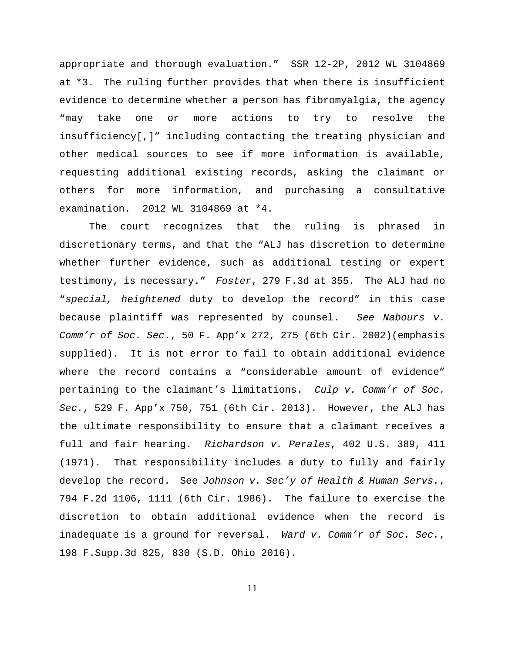appropriate and thorough evaluation." SSR 12-2P, 2012 WL 3104869 at \*3. The ruling further provides that when there is insufficient evidence to determine whether a person has fibromyalgia, the agency "may take one or more actions to try to resolve the insufficiency[,]" including contacting the treating physician and other medical sources to see if more information is available, requesting additional existing records, asking the claimant or others for more information, and purchasing a consultative examination. 2012 WL 3104869 at \*4.

The court recognizes that the ruling is phrased in discretionary terms, and that the "ALJ has discretion to determine whether further evidence, such as additional testing or expert testimony, is necessary." Foster, 279 F.3d at 355. The ALJ had no "special, heightened duty to develop the record" in this case because plaintiff was represented by counsel. See Nabours v. Comm'r of Soc. Sec., 50 F. App'x 272, 275 (6th Cir. 2002)(emphasis supplied). It is not error to fail to obtain additional evidence where the record contains a "considerable amount of evidence" pertaining to the claimant's limitations. Culp v. Comm'r of Soc. Sec., 529 F. App'x 750, 751 (6th Cir. 2013). However, the ALJ has the ultimate responsibility to ensure that a claimant receives a full and fair hearing. Richardson v. Perales, 402 U.S. 389, 411 (1971). That responsibility includes a duty to fully and fairly develop the record. See Johnson v. Sec'y of Health & Human Servs., 794 F.2d 1106, 1111 (6th Cir. 1986). The failure to exercise the discretion to obtain additional evidence when the record is inadequate is a ground for reversal. Ward v. Comm'r of Soc. Sec., 198 F.Supp.3d 825, 830 (S.D. Ohio 2016).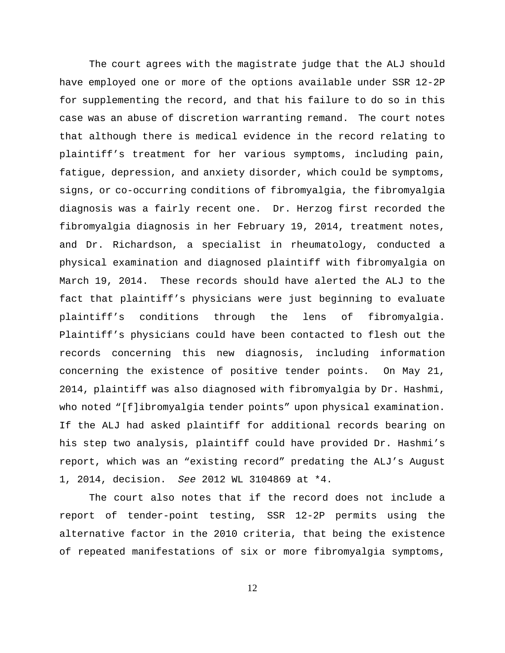The court agrees with the magistrate judge that the ALJ should have employed one or more of the options available under SSR 12-2P for supplementing the record, and that his failure to do so in this case was an abuse of discretion warranting remand. The court notes that although there is medical evidence in the record relating to plaintiff's treatment for her various symptoms, including pain, fatigue, depression, and anxiety disorder, which could be symptoms, signs, or co-occurring conditions of fibromyalgia, the fibromyalgia diagnosis was a fairly recent one. Dr. Herzog first recorded the fibromyalgia diagnosis in her February 19, 2014, treatment notes, and Dr. Richardson, a specialist in rheumatology, conducted a physical examination and diagnosed plaintiff with fibromyalgia on March 19, 2014. These records should have alerted the ALJ to the fact that plaintiff's physicians were just beginning to evaluate plaintiff's conditions through the lens of fibromyalgia. Plaintiff's physicians could have been contacted to flesh out the records concerning this new diagnosis, including information concerning the existence of positive tender points. On May 21, 2014, plaintiff was also diagnosed with fibromyalgia by Dr. Hashmi, who noted "[f]ibromyalgia tender points" upon physical examination. If the ALJ had asked plaintiff for additional records bearing on his step two analysis, plaintiff could have provided Dr. Hashmi's report, which was an "existing record" predating the ALJ's August 1, 2014, decision. See 2012 WL 3104869 at \*4.

The court also notes that if the record does not include a report of tender-point testing, SSR 12-2P permits using the alternative factor in the 2010 criteria, that being the existence of repeated manifestations of six or more fibromyalgia symptoms,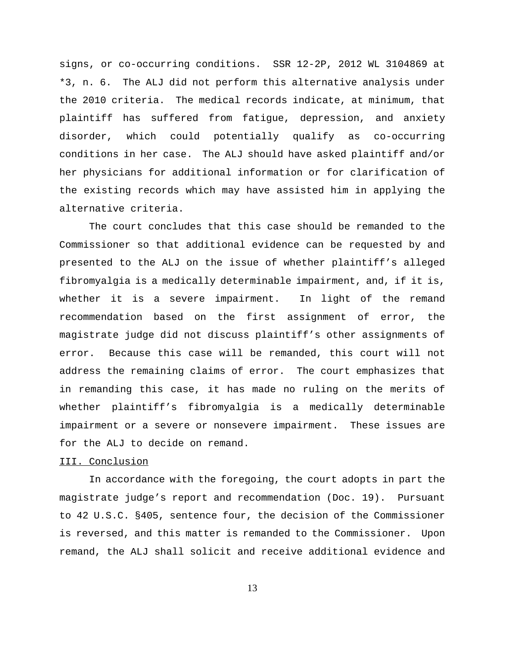signs, or co-occurring conditions. SSR 12-2P, 2012 WL 3104869 at \*3, n. 6. The ALJ did not perform this alternative analysis under the 2010 criteria. The medical records indicate, at minimum, that plaintiff has suffered from fatigue, depression, and anxiety disorder, which could potentially qualify as co-occurring conditions in her case. The ALJ should have asked plaintiff and/or her physicians for additional information or for clarification of the existing records which may have assisted him in applying the alternative criteria.

The court concludes that this case should be remanded to the Commissioner so that additional evidence can be requested by and presented to the ALJ on the issue of whether plaintiff's alleged fibromyalgia is a medically determinable impairment, and, if it is, whether it is a severe impairment. In light of the remand recommendation based on the first assignment of error, the magistrate judge did not discuss plaintiff's other assignments of error. Because this case will be remanded, this court will not address the remaining claims of error. The court emphasizes that in remanding this case, it has made no ruling on the merits of whether plaintiff's fibromyalgia is a medically determinable impairment or a severe or nonsevere impairment. These issues are for the ALJ to decide on remand.

## III. Conclusion

In accordance with the foregoing, the court adopts in part the magistrate judge's report and recommendation (Doc. 19). Pursuant to 42 U.S.C. §405, sentence four, the decision of the Commissioner is reversed, and this matter is remanded to the Commissioner. Upon remand, the ALJ shall solicit and receive additional evidence and